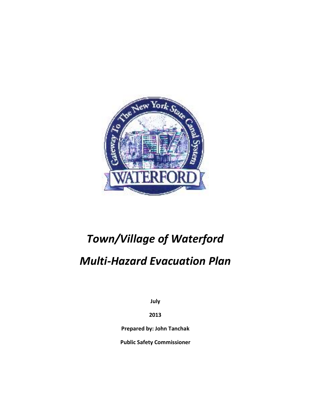

# *Town/Village of Waterford*

## *Multi-Hazard Evacuation Plan*

**July**

**2013**

**Prepared by: John Tanchak**

**Public Safety Commissioner**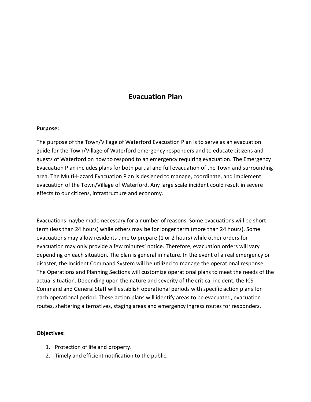### **Evacuation Plan**

#### **Purpose:**

The purpose of the Town/Village of Waterford Evacuation Plan is to serve as an evacuation guide for the Town/Village of Waterford emergency responders and to educate citizens and guests of Waterford on how to respond to an emergency requiring evacuation. The Emergency Evacuation Plan includes plans for both partial and full evacuation of the Town and surrounding area. The Multi-Hazard Evacuation Plan is designed to manage, coordinate, and implement evacuation of the Town/Village of Waterford. Any large scale incident could result in severe effects to our citizens, infrastructure and economy.

Evacuations maybe made necessary for a number of reasons. Some evacuations will be short term (less than 24 hours) while others may be for longer term (more than 24 hours). Some evacuations may allow residents time to prepare (1 or 2 hours) while other orders for evacuation may only provide a few minutes' notice. Therefore, evacuation orders will vary depending on each situation. The plan is general in nature. In the event of a real emergency or disaster, the Incident Command System will be utilized to manage the operational response. The Operations and Planning Sections will customize operational plans to meet the needs of the actual situation. Depending upon the nature and severity of the critical incident, the ICS Command and General Staff will establish operational periods with specific action plans for each operational period. These action plans will identify areas to be evacuated, evacuation routes, sheltering alternatives, staging areas and emergency ingress routes for responders.

#### **Objectives:**

- 1. Protection of life and property.
- 2. Timely and efficient notification to the public.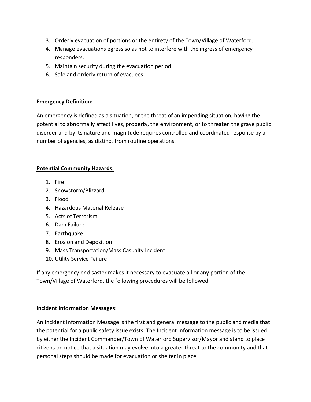- 3. Orderly evacuation of portions or the entirety of the Town/Village of Waterford.
- 4. Manage evacuations egress so as not to interfere with the ingress of emergency responders.
- 5. Maintain security during the evacuation period.
- 6. Safe and orderly return of evacuees.

#### **Emergency Definition:**

An emergency is defined as a situation, or the threat of an impending situation, having the potential to abnormally affect lives, property, the environment, or to threaten the grave public disorder and by its nature and magnitude requires controlled and coordinated response by a number of agencies, as distinct from routine operations.

#### **Potential Community Hazards:**

- 1. Fire
- 2. Snowstorm/Blizzard
- 3. Flood
- 4. Hazardous Material Release
- 5. Acts of Terrorism
- 6. Dam Failure
- 7. Earthquake
- 8. Erosion and Deposition
- 9. Mass Transportation/Mass Casualty Incident
- 10. Utility Service Failure

If any emergency or disaster makes it necessary to evacuate all or any portion of the Town/Village of Waterford, the following procedures will be followed.

#### **Incident Information Messages:**

An Incident Information Message is the first and general message to the public and media that the potential for a public safety issue exists. The Incident Information message is to be issued by either the Incident Commander/Town of Waterford Supervisor/Mayor and stand to place citizens on notice that a situation may evolve into a greater threat to the community and that personal steps should be made for evacuation or shelter in place.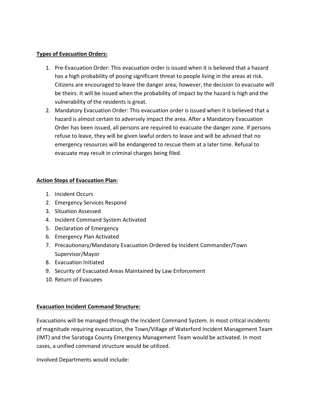#### **Types of Evacuation Orders:**

- 1. Pre-Evacuation Order: This evacuation order is issued when it is believed that a hazard has a high probability of posing significant threat to people living in the areas at risk. Citizens are encouraged to leave the danger area; however, the decision to evacuate will be theirs. It will be issued when the probability of impact by the hazard is high and the vulnerability of the residents is great.
- 2. Mandatory Evacuation Order: This evacuation order is issued when it is believed that a hazard is almost certain to adversely impact the area. After a Mandatory Evacuation Order has been issued, all persons are required to evacuate the danger zone. If persons refuse to leave, they will be given lawful orders to leave and will be advised that no emergency resources will be endangered to rescue them at a later time. Refusal to evacuate may result in criminal charges being filed.

#### **Action Steps of Evacuation Plan:**

- 1. Incident Occurs
- 2. Emergency Services Respond
- 3. Situation Assessed
- 4. Incident Command System Activated
- 5. Declaration of Emergency
- 6. Emergency Plan Activated
- 7. Precautionary/Mandatory Evacuation Ordered by Incident Commander/Town Supervisor/Mayor
- 8. Evacuation Initiated
- 9. Security of Evacuated Areas Maintained by Law Enforcement
- 10. Return of Evacuees

#### **Evacuation Incident Command Structure:**

Evacuations will be managed through the Incident Command System. In most critical incidents of magnitude requiring evacuation, the Town/Village of Waterford Incident Management Team (IMT) and the Saratoga County Emergency Management Team would be activated. In most cases, a unified command structure would be utilized.

Involved Departments would include: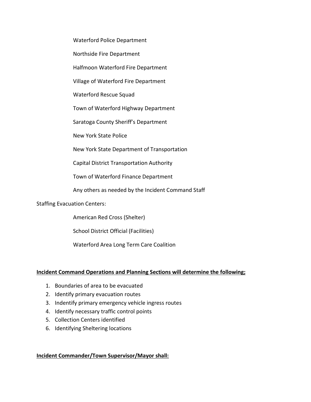Waterford Police Department

Northside Fire Department

Halfmoon Waterford Fire Department

Village of Waterford Fire Department

Waterford Rescue Squad

Town of Waterford Highway Department

Saratoga County Sheriff's Department

New York State Police

New York State Department of Transportation

Capital District Transportation Authority

Town of Waterford Finance Department

Any others as needed by the Incident Command Staff

Staffing Evacuation Centers:

American Red Cross (Shelter)

School District Official (Facilities)

Waterford Area Long Term Care Coalition

#### **Incident Command Operations and Planning Sections will determine the following;**

- 1. Boundaries of area to be evacuated
- 2. Identify primary evacuation routes
- 3. Indentify primary emergency vehicle ingress routes
- 4. Identify necessary traffic control points
- 5. Collection Centers identified
- 6. Identifying Sheltering locations

#### **Incident Commander/Town Supervisor/Mayor shall:**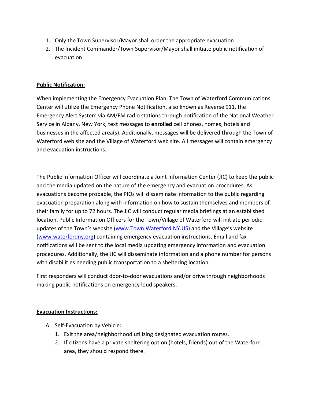- 1. Only the Town Supervisor/Mayor shall order the appropriate evacuation
- 2. The Incident Commander/Town Supervisor/Mayor shall initiate public notification of evacuation

#### **Public Notification:**

When implementing the Emergency Evacuation Plan, The Town of Waterford Communications Center will utilize the Emergency Phone Notification, also known as Reverse 911, the Emergency Alert System via AM/FM radio stations through notification of the National Weather Service in Albany, New York, text messages to **enrolled** cell phones, homes, hotels and businesses in the affected area(s). Additionally, messages will be delivered through the Town of Waterford web site and the Village of Waterford web site. All messages will contain emergency and evacuation instructions.

The Public Information Officer will coordinate a Joint Information Center (JIC) to keep the public and the media updated on the nature of the emergency and evacuation procedures. As evacuations become probable, the PIOs will disseminate information to the public regarding evacuation preparation along with information on how to sustain themselves and members of their family for up to 72 hours. The JIC will conduct regular media briefings at an established location. Public Information Officers for the Town/Village of Waterford will initiate periodic updates of the Town's website (www.Town.Waterford.NY.US) and the Village's website (www.waterfordny.org) containing emergency evacuation instructions. Email and fax notifications will be sent to the local media updating emergency information and evacuation procedures. Additionally, the JIC will disseminate information and a phone number for persons with disabilities needing public transportation to a sheltering location.

First responders will conduct door-to-door evacuations and/or drive through neighborhoods making public notifications on emergency loud speakers.

#### **Evacuation Instructions:**

- A. Self-Evacuation by Vehicle:
	- 1. Exit the area/neighborhood utilizing designated evacuation routes.
	- 2. If citizens have a private sheltering option (hotels, friends) out of the Waterford area, they should respond there.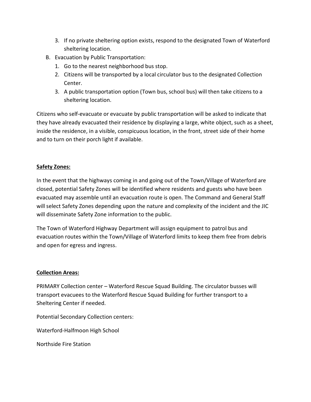- 3. If no private sheltering option exists, respond to the designated Town of Waterford sheltering location.
- B. Evacuation by Public Transportation:
	- 1. Go to the nearest neighborhood bus stop.
	- 2. Citizens will be transported by a local circulator bus to the designated Collection Center.
	- 3. A public transportation option (Town bus, school bus) will then take citizens to a sheltering location.

Citizens who self-evacuate or evacuate by public transportation will be asked to indicate that they have already evacuated their residence by displaying a large, white object, such as a sheet, inside the residence, in a visible, conspicuous location, in the front, street side of their home and to turn on their porch light if available.

#### **Safety Zones:**

In the event that the highways coming in and going out of the Town/Village of Waterford are closed, potential Safety Zones will be identified where residents and guests who have been evacuated may assemble until an evacuation route is open. The Command and General Staff will select Safety Zones depending upon the nature and complexity of the incident and the JIC will disseminate Safety Zone information to the public.

The Town of Waterford Highway Department will assign equipment to patrol bus and evacuation routes within the Town/Village of Waterford limits to keep them free from debris and open for egress and ingress.

#### **Collection Areas:**

PRIMARY Collection center – Waterford Rescue Squad Building. The circulator busses will transport evacuees to the Waterford Rescue Squad Building for further transport to a Sheltering Center if needed.

Potential Secondary Collection centers:

Waterford-Halfmoon High School

Northside Fire Station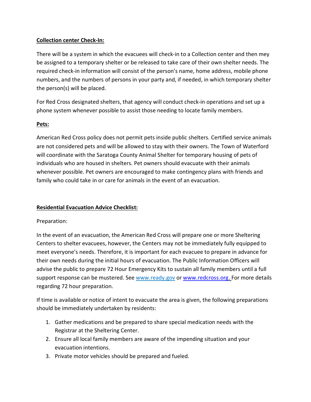#### **Collection center Check-In:**

There will be a system in which the evacuees will check-in to a Collection center and then mey be assigned to a temporary shelter or be released to take care of their own shelter needs. The required check-in information will consist of the person's name, home address, mobile phone numbers, and the numbers of persons in your party and, if needed, in which temporary shelter the person(s) will be placed.

For Red Cross designated shelters, that agency will conduct check-in operations and set up a phone system whenever possible to assist those needing to locate family members.

#### **Pets:**

American Red Cross policy does not permit pets inside public shelters. Certified service animals are not considered pets and will be allowed to stay with their owners. The Town of Waterford will coordinate with the Saratoga County Animal Shelter for temporary housing of pets of individuals who are housed in shelters. Pet owners should evacuate with their animals whenever possible. Pet owners are encouraged to make contingency plans with friends and family who could take in or care for animals in the event of an evacuation.

#### **Residential Evacuation Advice Checklist:**

#### Preparation:

In the event of an evacuation, the American Red Cross will prepare one or more Sheltering Centers to shelter evacuees, however, the Centers may not be immediately fully equipped to meet everyone's needs. Therefore, it is important for each evacuee to prepare in advance for their own needs during the initial hours of evacuation. The Public Information Officers will advise the public to prepare 72 Hour Emergency Kits to sustain all family members until a full support response can be mustered. See www.ready.gov or www.redcross.org. For more details regarding 72 hour preparation.

If time is available or notice of intent to evacuate the area is given, the following preparations should be immediately undertaken by residents:

- 1. Gather medications and be prepared to share special medication needs with the Registrar at the Sheltering Center.
- 2. Ensure all local family members are aware of the impending situation and your evacuation intentions.
- 3. Private motor vehicles should be prepared and fueled.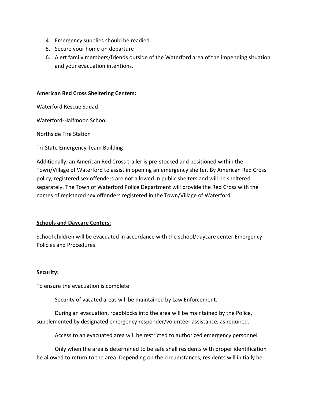- 4. Emergency supplies should be readied.
- 5. Secure your home on departure
- 6. Alert family members/friends outside of the Waterford area of the impending situation and your evacuation intentions.

#### **American Red Cross Sheltering Centers:**

Waterford Rescue Squad

Waterford-Halfmoon School

Northside Fire Station

Tri-State Emergency Team Building

Additionally, an American Red Cross trailer is pre-stocked and positioned within the Town/Village of Waterford to assist in opening an emergency shelter. By American Red Cross policy, registered sex offenders are not allowed in public shelters and will be sheltered separately. The Town of Waterford Police Department will provide the Red Cross with the names of registered sex offenders registered in the Town/Village of Waterford.

#### **Schools and Daycare Centers:**

School children will be evacuated in accordance with the school/daycare center Emergency Policies and Procedures.

#### **Security:**

To ensure the evacuation is complete:

Security of vacated areas will be maintained by Law Enforcement.

During an evacuation, roadblocks into the area will be maintained by the Police, supplemented by designated emergency responder/volunteer assistance, as required.

Access to an evacuated area will be restricted to authorized emergency personnel.

Only when the area is determined to be safe shall residents with proper identification be allowed to return to the area. Depending on the circumstances, residents will initially be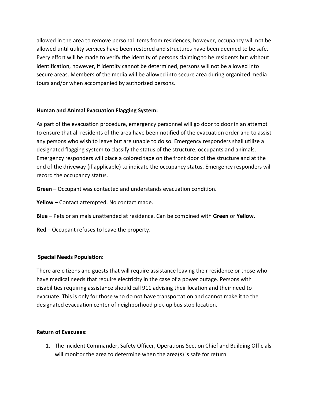allowed in the area to remove personal items from residences, however, occupancy will not be allowed until utility services have been restored and structures have been deemed to be safe. Every effort will be made to verify the identity of persons claiming to be residents but without identification, however, if identity cannot be determined, persons will not be allowed into secure areas. Members of the media will be allowed into secure area during organized media tours and/or when accompanied by authorized persons.

#### **Human and Animal Evacuation Flagging System:**

As part of the evacuation procedure, emergency personnel will go door to door in an attempt to ensure that all residents of the area have been notified of the evacuation order and to assist any persons who wish to leave but are unable to do so. Emergency responders shall utilize a designated flagging system to classify the status of the structure, occupants and animals. Emergency responders will place a colored tape on the front door of the structure and at the end of the driveway (if applicable) to indicate the occupancy status. Emergency responders will record the occupancy status.

- **Green** Occupant was contacted and understands evacuation condition.
- **Yellow** Contact attempted. No contact made.
- **Blue**  Pets or animals unattended at residence. Can be combined with **Green** or **Yellow.**
- **Red** Occupant refuses to leave the property.

#### **Special Needs Population:**

There are citizens and guests that will require assistance leaving their residence or those who have medical needs that require electricity in the case of a power outage. Persons with disabilities requiring assistance should call 911 advising their location and their need to evacuate. This is only for those who do not have transportation and cannot make it to the designated evacuation center of neighborhood pick-up bus stop location.

#### **Return of Evacuees:**

1. The incident Commander, Safety Officer, Operations Section Chief and Building Officials will monitor the area to determine when the area(s) is safe for return.